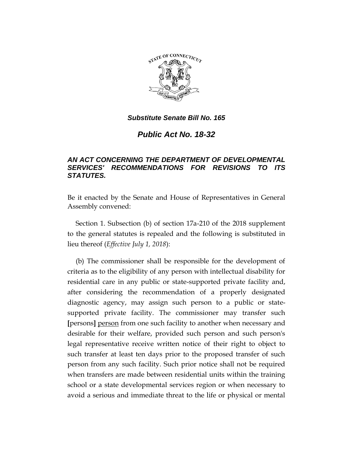

*Public Act No. 18-32*

# *AN ACT CONCERNING THE DEPARTMENT OF DEVELOPMENTAL SERVICES' RECOMMENDATIONS FOR REVISIONS TO ITS STATUTES.*

Be it enacted by the Senate and House of Representatives in General Assembly convened:

Section 1. Subsection (b) of section 17a-210 of the 2018 supplement to the general statutes is repealed and the following is substituted in lieu thereof (*Effective July 1, 2018*):

(b) The commissioner shall be responsible for the development of criteria as to the eligibility of any person with intellectual disability for residential care in any public or state-supported private facility and, after considering the recommendation of a properly designated diagnostic agency, may assign such person to a public or statesupported private facility. The commissioner may transfer such **[**persons**]** person from one such facility to another when necessary and desirable for their welfare, provided such person and such person's legal representative receive written notice of their right to object to such transfer at least ten days prior to the proposed transfer of such person from any such facility. Such prior notice shall not be required when transfers are made between residential units within the training school or a state developmental services region or when necessary to avoid a serious and immediate threat to the life or physical or mental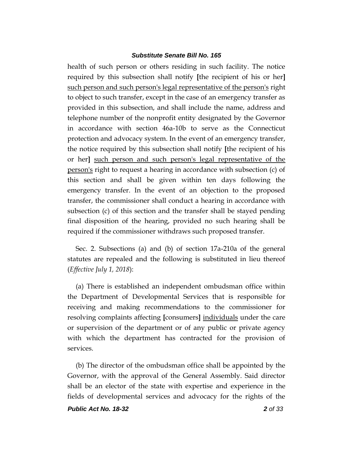health of such person or others residing in such facility. The notice required by this subsection shall notify **[**the recipient of his or her**]** such person and such person's legal representative of the person's right to object to such transfer, except in the case of an emergency transfer as provided in this subsection, and shall include the name, address and telephone number of the nonprofit entity designated by the Governor in accordance with section 46a-10b to serve as the Connecticut protection and advocacy system. In the event of an emergency transfer, the notice required by this subsection shall notify **[**the recipient of his or her**]** such person and such person's legal representative of the person's right to request a hearing in accordance with subsection (c) of this section and shall be given within ten days following the emergency transfer. In the event of an objection to the proposed transfer, the commissioner shall conduct a hearing in accordance with subsection (c) of this section and the transfer shall be stayed pending final disposition of the hearing, provided no such hearing shall be required if the commissioner withdraws such proposed transfer.

Sec. 2. Subsections (a) and (b) of section 17a-210a of the general statutes are repealed and the following is substituted in lieu thereof (*Effective July 1, 2018*):

(a) There is established an independent ombudsman office within the Department of Developmental Services that is responsible for receiving and making recommendations to the commissioner for resolving complaints affecting **[**consumers**]** individuals under the care or supervision of the department or of any public or private agency with which the department has contracted for the provision of services.

(b) The director of the ombudsman office shall be appointed by the Governor, with the approval of the General Assembly. Said director shall be an elector of the state with expertise and experience in the fields of developmental services and advocacy for the rights of the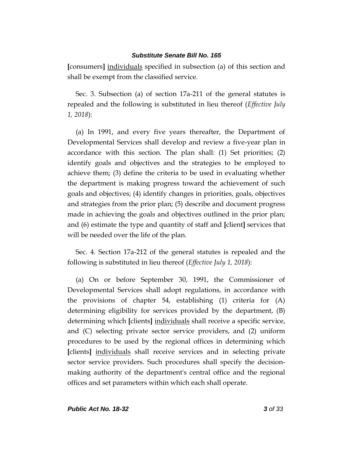**[**consumers**]** individuals specified in subsection (a) of this section and shall be exempt from the classified service.

Sec. 3. Subsection (a) of section 17a-211 of the general statutes is repealed and the following is substituted in lieu thereof (*Effective July 1, 2018*):

(a) In 1991, and every five years thereafter, the Department of Developmental Services shall develop and review a five-year plan in accordance with this section. The plan shall: (1) Set priorities; (2) identify goals and objectives and the strategies to be employed to achieve them; (3) define the criteria to be used in evaluating whether the department is making progress toward the achievement of such goals and objectives; (4) identify changes in priorities, goals, objectives and strategies from the prior plan; (5) describe and document progress made in achieving the goals and objectives outlined in the prior plan; and (6) estimate the type and quantity of staff and **[**client**]** services that will be needed over the life of the plan.

Sec. 4. Section 17a-212 of the general statutes is repealed and the following is substituted in lieu thereof (*Effective July 1, 2018*):

(a) On or before September 30, 1991, the Commissioner of Developmental Services shall adopt regulations, in accordance with the provisions of chapter 54, establishing (1) criteria for (A) determining eligibility for services provided by the department, (B) determining which **[**clients**]** individuals shall receive a specific service, and (C) selecting private sector service providers, and (2) uniform procedures to be used by the regional offices in determining which **[**clients**]** individuals shall receive services and in selecting private sector service providers. Such procedures shall specify the decisionmaking authority of the department's central office and the regional offices and set parameters within which each shall operate.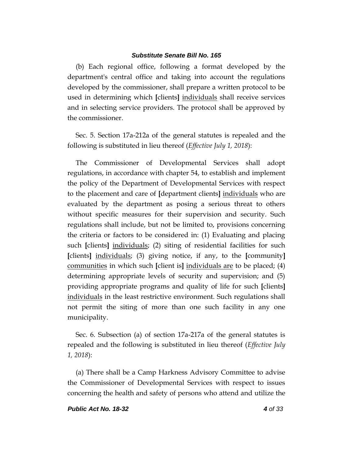(b) Each regional office, following a format developed by the department's central office and taking into account the regulations developed by the commissioner, shall prepare a written protocol to be used in determining which **[**clients**]** individuals shall receive services and in selecting service providers. The protocol shall be approved by the commissioner.

Sec. 5. Section 17a-212a of the general statutes is repealed and the following is substituted in lieu thereof (*Effective July 1, 2018*):

The Commissioner of Developmental Services shall adopt regulations, in accordance with chapter 54, to establish and implement the policy of the Department of Developmental Services with respect to the placement and care of **[**department clients**]** individuals who are evaluated by the department as posing a serious threat to others without specific measures for their supervision and security. Such regulations shall include, but not be limited to, provisions concerning the criteria or factors to be considered in: (1) Evaluating and placing such **[**clients**]** individuals; (2) siting of residential facilities for such **[**clients**]** individuals; (3) giving notice, if any, to the **[**community**]** communities in which such **[**client is**]** individuals are to be placed; (4) determining appropriate levels of security and supervision; and (5) providing appropriate programs and quality of life for such **[**clients**]** individuals in the least restrictive environment. Such regulations shall not permit the siting of more than one such facility in any one municipality.

Sec. 6. Subsection (a) of section 17a-217a of the general statutes is repealed and the following is substituted in lieu thereof (*Effective July 1, 2018*):

(a) There shall be a Camp Harkness Advisory Committee to advise the Commissioner of Developmental Services with respect to issues concerning the health and safety of persons who attend and utilize the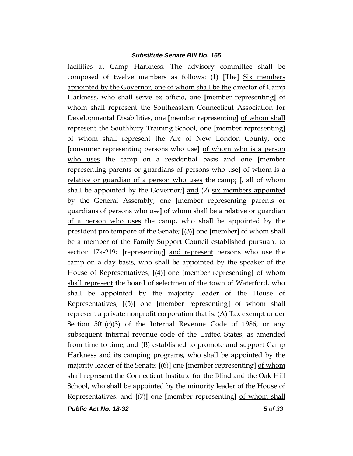facilities at Camp Harkness. The advisory committee shall be composed of twelve members as follows: (1) **[**The**]** Six members appointed by the Governor, one of whom shall be the director of Camp Harkness, who shall serve ex officio, one **[**member representing**]** of whom shall represent the Southeastern Connecticut Association for Developmental Disabilities, one **[**member representing**]** of whom shall represent the Southbury Training School, one **[**member representing**]** of whom shall represent the Arc of New London County, one **[**consumer representing persons who use**]** of whom who is a person who uses the camp on a residential basis and one **[**member representing parents or guardians of persons who use**]** of whom is a relative or guardian of a person who uses the camp; **[**, all of whom shall be appointed by the Governor;**]** and (2) six members appointed by the General Assembly, one **[**member representing parents or guardians of persons who use**]** of whom shall be a relative or guardian of a person who uses the camp, who shall be appointed by the president pro tempore of the Senate; **[**(3)**]** one **[**member**]** of whom shall be a member of the Family Support Council established pursuant to section 17a-219c **[**representing**]** and represent persons who use the camp on a day basis, who shall be appointed by the speaker of the House of Representatives; **[**(4)**]** one **[**member representing**]** of whom shall represent the board of selectmen of the town of Waterford, who shall be appointed by the majority leader of the House of Representatives; **[**(5)**]** one **[**member representing**]** of whom shall represent a private nonprofit corporation that is: (A) Tax exempt under Section  $501(c)(3)$  of the Internal Revenue Code of 1986, or any subsequent internal revenue code of the United States, as amended from time to time, and (B) established to promote and support Camp Harkness and its camping programs, who shall be appointed by the majority leader of the Senate; **[**(6)**]** one **[**member representing**]** of whom shall represent the Connecticut Institute for the Blind and the Oak Hill School, who shall be appointed by the minority leader of the House of Representatives; and **[**(7)**]** one **[**member representing**]** of whom shall

*Public Act No. 18-32 5 of 33*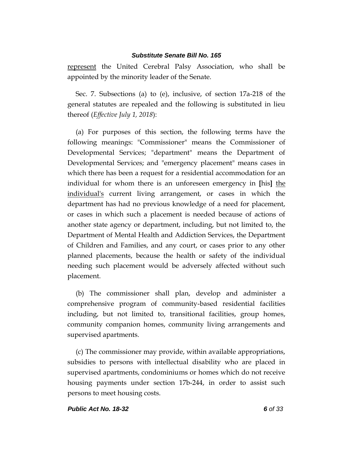represent the United Cerebral Palsy Association, who shall be appointed by the minority leader of the Senate.

Sec. 7. Subsections (a) to (e), inclusive, of section 17a-218 of the general statutes are repealed and the following is substituted in lieu thereof (*Effective July 1, 2018*):

(a) For purposes of this section, the following terms have the following meanings: "Commissioner" means the Commissioner of Developmental Services; "department" means the Department of Developmental Services; and "emergency placement" means cases in which there has been a request for a residential accommodation for an individual for whom there is an unforeseen emergency in **[**his**]** the individual's current living arrangement, or cases in which the department has had no previous knowledge of a need for placement, or cases in which such a placement is needed because of actions of another state agency or department, including, but not limited to, the Department of Mental Health and Addiction Services, the Department of Children and Families, and any court, or cases prior to any other planned placements, because the health or safety of the individual needing such placement would be adversely affected without such placement.

(b) The commissioner shall plan, develop and administer a comprehensive program of community-based residential facilities including, but not limited to, transitional facilities, group homes, community companion homes, community living arrangements and supervised apartments.

(c) The commissioner may provide, within available appropriations, subsidies to persons with intellectual disability who are placed in supervised apartments, condominiums or homes which do not receive housing payments under section 17b-244, in order to assist such persons to meet housing costs.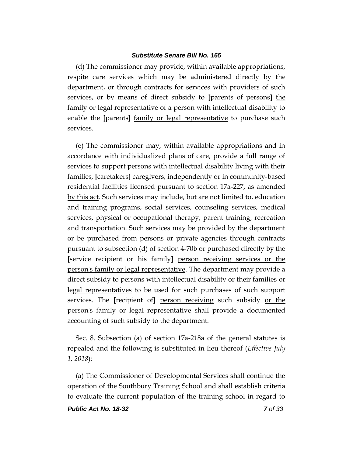(d) The commissioner may provide, within available appropriations, respite care services which may be administered directly by the department, or through contracts for services with providers of such services, or by means of direct subsidy to **[**parents of persons**]** the family or legal representative of a person with intellectual disability to enable the **[**parents**]** family or legal representative to purchase such services.

(e) The commissioner may, within available appropriations and in accordance with individualized plans of care, provide a full range of services to support persons with intellectual disability living with their families, **[**caretakers**]** caregivers, independently or in community-based residential facilities licensed pursuant to section 17a-227, as amended by this act. Such services may include, but are not limited to, education and training programs, social services, counseling services, medical services, physical or occupational therapy, parent training, recreation and transportation. Such services may be provided by the department or be purchased from persons or private agencies through contracts pursuant to subsection (d) of section 4-70b or purchased directly by the **[**service recipient or his family**]** person receiving services or the person's family or legal representative. The department may provide a direct subsidy to persons with intellectual disability or their families or legal representatives to be used for such purchases of such support services. The **[**recipient of**]** person receiving such subsidy or the person's family or legal representative shall provide a documented accounting of such subsidy to the department.

Sec. 8. Subsection (a) of section 17a-218a of the general statutes is repealed and the following is substituted in lieu thereof (*Effective July 1, 2018*):

(a) The Commissioner of Developmental Services shall continue the operation of the Southbury Training School and shall establish criteria to evaluate the current population of the training school in regard to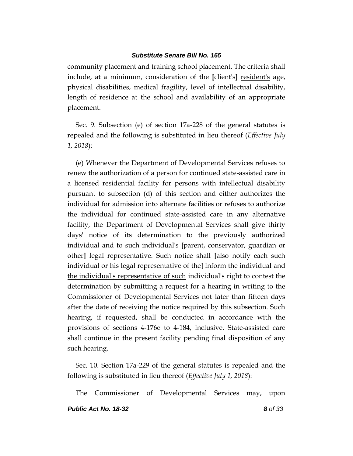community placement and training school placement. The criteria shall include, at a minimum, consideration of the **[**client's**]** resident's age, physical disabilities, medical fragility, level of intellectual disability, length of residence at the school and availability of an appropriate placement.

Sec. 9. Subsection (e) of section 17a-228 of the general statutes is repealed and the following is substituted in lieu thereof (*Effective July 1, 2018*):

(e) Whenever the Department of Developmental Services refuses to renew the authorization of a person for continued state-assisted care in a licensed residential facility for persons with intellectual disability pursuant to subsection (d) of this section and either authorizes the individual for admission into alternate facilities or refuses to authorize the individual for continued state-assisted care in any alternative facility, the Department of Developmental Services shall give thirty days' notice of its determination to the previously authorized individual and to such individual's **[**parent, conservator, guardian or other**]** legal representative. Such notice shall **[**also notify each such individual or his legal representative of the**]** inform the individual and the individual's representative of such individual's right to contest the determination by submitting a request for a hearing in writing to the Commissioner of Developmental Services not later than fifteen days after the date of receiving the notice required by this subsection. Such hearing, if requested, shall be conducted in accordance with the provisions of sections 4-176e to 4-184, inclusive. State-assisted care shall continue in the present facility pending final disposition of any such hearing.

Sec. 10. Section 17a-229 of the general statutes is repealed and the following is substituted in lieu thereof (*Effective July 1, 2018*):

The Commissioner of Developmental Services may, upon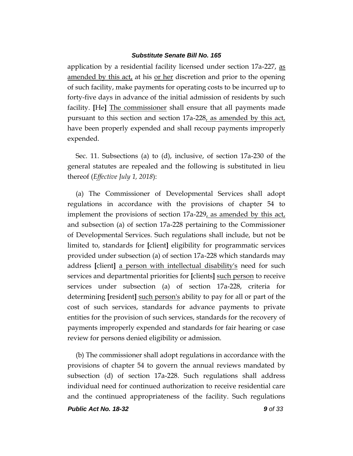application by a residential facility licensed under section 17a-227, as amended by this act, at his or her discretion and prior to the opening of such facility, make payments for operating costs to be incurred up to forty-five days in advance of the initial admission of residents by such facility. **[**He**]** The commissioner shall ensure that all payments made pursuant to this section and section 17a-228, as amended by this act, have been properly expended and shall recoup payments improperly expended.

Sec. 11. Subsections (a) to (d), inclusive, of section 17a-230 of the general statutes are repealed and the following is substituted in lieu thereof (*Effective July 1, 2018*):

(a) The Commissioner of Developmental Services shall adopt regulations in accordance with the provisions of chapter 54 to implement the provisions of section 17a-229, as amended by this act, and subsection (a) of section 17a-228 pertaining to the Commissioner of Developmental Services. Such regulations shall include, but not be limited to, standards for **[**client**]** eligibility for programmatic services provided under subsection (a) of section 17a-228 which standards may address **[**client**]** a person with intellectual disability's need for such services and departmental priorities for **[**clients**]** such person to receive services under subsection (a) of section 17a-228, criteria for determining **[**resident**]** such person's ability to pay for all or part of the cost of such services, standards for advance payments to private entities for the provision of such services, standards for the recovery of payments improperly expended and standards for fair hearing or case review for persons denied eligibility or admission.

(b) The commissioner shall adopt regulations in accordance with the provisions of chapter 54 to govern the annual reviews mandated by subsection (d) of section 17a-228. Such regulations shall address individual need for continued authorization to receive residential care and the continued appropriateness of the facility. Such regulations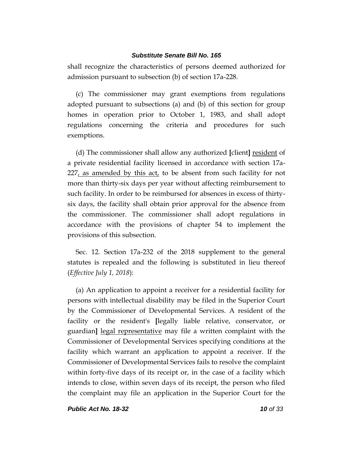shall recognize the characteristics of persons deemed authorized for admission pursuant to subsection (b) of section 17a-228.

(c) The commissioner may grant exemptions from regulations adopted pursuant to subsections (a) and (b) of this section for group homes in operation prior to October 1, 1983, and shall adopt regulations concerning the criteria and procedures for such exemptions.

(d) The commissioner shall allow any authorized **[**client**]** resident of a private residential facility licensed in accordance with section 17a-227, as amended by this act, to be absent from such facility for not more than thirty-six days per year without affecting reimbursement to such facility. In order to be reimbursed for absences in excess of thirtysix days, the facility shall obtain prior approval for the absence from the commissioner. The commissioner shall adopt regulations in accordance with the provisions of chapter 54 to implement the provisions of this subsection.

Sec. 12. Section 17a-232 of the 2018 supplement to the general statutes is repealed and the following is substituted in lieu thereof (*Effective July 1, 2018*):

(a) An application to appoint a receiver for a residential facility for persons with intellectual disability may be filed in the Superior Court by the Commissioner of Developmental Services. A resident of the facility or the resident's **[**legally liable relative, conservator, or guardian**]** legal representative may file a written complaint with the Commissioner of Developmental Services specifying conditions at the facility which warrant an application to appoint a receiver. If the Commissioner of Developmental Services fails to resolve the complaint within forty-five days of its receipt or, in the case of a facility which intends to close, within seven days of its receipt, the person who filed the complaint may file an application in the Superior Court for the

*Public Act No. 18-32 10 of 33*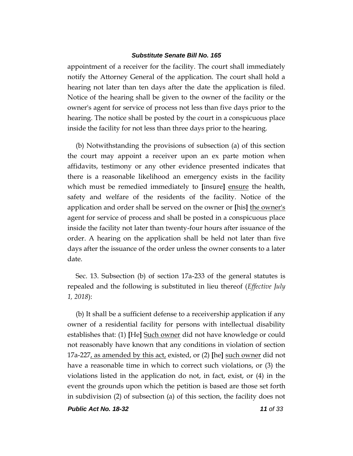appointment of a receiver for the facility. The court shall immediately notify the Attorney General of the application. The court shall hold a hearing not later than ten days after the date the application is filed. Notice of the hearing shall be given to the owner of the facility or the owner's agent for service of process not less than five days prior to the hearing. The notice shall be posted by the court in a conspicuous place inside the facility for not less than three days prior to the hearing.

(b) Notwithstanding the provisions of subsection (a) of this section the court may appoint a receiver upon an ex parte motion when affidavits, testimony or any other evidence presented indicates that there is a reasonable likelihood an emergency exists in the facility which must be remedied immediately to **[**insure**]** ensure the health, safety and welfare of the residents of the facility. Notice of the application and order shall be served on the owner or **[**his**]** the owner's agent for service of process and shall be posted in a conspicuous place inside the facility not later than twenty-four hours after issuance of the order. A hearing on the application shall be held not later than five days after the issuance of the order unless the owner consents to a later date.

Sec. 13. Subsection (b) of section 17a-233 of the general statutes is repealed and the following is substituted in lieu thereof (*Effective July 1, 2018*):

(b) It shall be a sufficient defense to a receivership application if any owner of a residential facility for persons with intellectual disability establishes that: (1) **[**He**]** Such owner did not have knowledge or could not reasonably have known that any conditions in violation of section 17a-227, as amended by this act, existed, or (2) **[**he**]** such owner did not have a reasonable time in which to correct such violations, or (3) the violations listed in the application do not, in fact, exist, or (4) in the event the grounds upon which the petition is based are those set forth in subdivision (2) of subsection (a) of this section, the facility does not

*Public Act No. 18-32 11 of 33*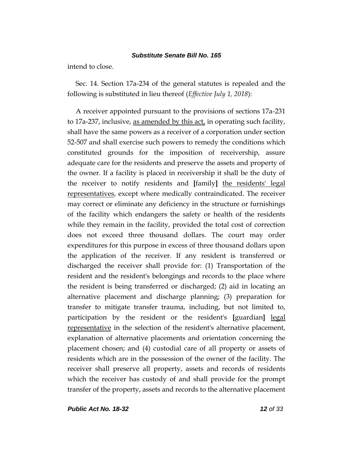intend to close.

Sec. 14. Section 17a-234 of the general statutes is repealed and the following is substituted in lieu thereof (*Effective July 1, 2018*):

A receiver appointed pursuant to the provisions of sections 17a-231 to 17a-237, inclusive, as amended by this act, in operating such facility, shall have the same powers as a receiver of a corporation under section 52-507 and shall exercise such powers to remedy the conditions which constituted grounds for the imposition of receivership, assure adequate care for the residents and preserve the assets and property of the owner. If a facility is placed in receivership it shall be the duty of the receiver to notify residents and **[**family**]** the residents' legal representatives, except where medically contraindicated. The receiver may correct or eliminate any deficiency in the structure or furnishings of the facility which endangers the safety or health of the residents while they remain in the facility, provided the total cost of correction does not exceed three thousand dollars. The court may order expenditures for this purpose in excess of three thousand dollars upon the application of the receiver. If any resident is transferred or discharged the receiver shall provide for: (1) Transportation of the resident and the resident's belongings and records to the place where the resident is being transferred or discharged; (2) aid in locating an alternative placement and discharge planning; (3) preparation for transfer to mitigate transfer trauma, including, but not limited to, participation by the resident or the resident's **[**guardian**]** legal representative in the selection of the resident's alternative placement, explanation of alternative placements and orientation concerning the placement chosen; and (4) custodial care of all property or assets of residents which are in the possession of the owner of the facility. The receiver shall preserve all property, assets and records of residents which the receiver has custody of and shall provide for the prompt transfer of the property, assets and records to the alternative placement

*Public Act No. 18-32 12 of 33*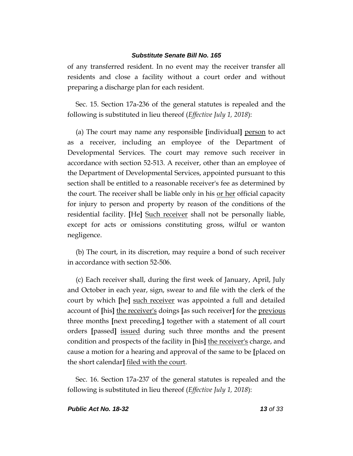of any transferred resident. In no event may the receiver transfer all residents and close a facility without a court order and without preparing a discharge plan for each resident.

Sec. 15. Section 17a-236 of the general statutes is repealed and the following is substituted in lieu thereof (*Effective July 1, 2018*):

(a) The court may name any responsible **[**individual**]** person to act as a receiver, including an employee of the Department of Developmental Services. The court may remove such receiver in accordance with section 52-513. A receiver, other than an employee of the Department of Developmental Services, appointed pursuant to this section shall be entitled to a reasonable receiver's fee as determined by the court. The receiver shall be liable only in his or her official capacity for injury to person and property by reason of the conditions of the residential facility. **[**He**]** Such receiver shall not be personally liable, except for acts or omissions constituting gross, wilful or wanton negligence.

(b) The court, in its discretion, may require a bond of such receiver in accordance with section 52-506.

(c) Each receiver shall, during the first week of January, April, July and October in each year, sign, swear to and file with the clerk of the court by which **[**he**]** such receiver was appointed a full and detailed account of **[**his**]** the receiver's doings **[**as such receiver**]** for the previous three months **[**next preceding,**]** together with a statement of all court orders **[**passed**]** issued during such three months and the present condition and prospects of the facility in **[**his**]** the receiver's charge, and cause a motion for a hearing and approval of the same to be **[**placed on the short calendar**]** filed with the court.

Sec. 16. Section 17a-237 of the general statutes is repealed and the following is substituted in lieu thereof (*Effective July 1, 2018*):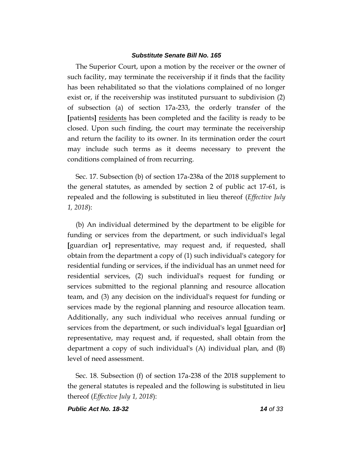The Superior Court, upon a motion by the receiver or the owner of such facility, may terminate the receivership if it finds that the facility has been rehabilitated so that the violations complained of no longer exist or, if the receivership was instituted pursuant to subdivision (2) of subsection (a) of section 17a-233, the orderly transfer of the **[**patients**]** residents has been completed and the facility is ready to be closed. Upon such finding, the court may terminate the receivership and return the facility to its owner. In its termination order the court may include such terms as it deems necessary to prevent the conditions complained of from recurring.

Sec. 17. Subsection (b) of section 17a-238a of the 2018 supplement to the general statutes, as amended by section 2 of public act 17-61, is repealed and the following is substituted in lieu thereof (*Effective July 1, 2018*):

(b) An individual determined by the department to be eligible for funding or services from the department, or such individual's legal **[**guardian or**]** representative, may request and, if requested, shall obtain from the department a copy of (1) such individual's category for residential funding or services, if the individual has an unmet need for residential services, (2) such individual's request for funding or services submitted to the regional planning and resource allocation team, and (3) any decision on the individual's request for funding or services made by the regional planning and resource allocation team. Additionally, any such individual who receives annual funding or services from the department, or such individual's legal **[**guardian or**]** representative, may request and, if requested, shall obtain from the department a copy of such individual's (A) individual plan, and (B) level of need assessment.

Sec. 18. Subsection (f) of section 17a-238 of the 2018 supplement to the general statutes is repealed and the following is substituted in lieu thereof (*Effective July 1, 2018*):

*Public Act No. 18-32 14 of 33*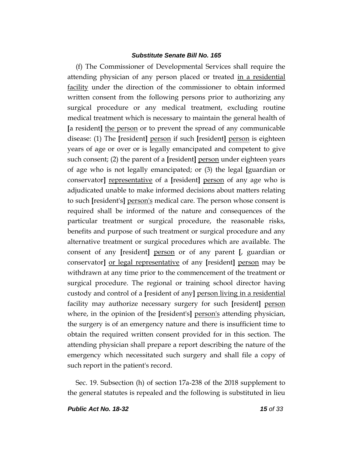(f) The Commissioner of Developmental Services shall require the attending physician of any person placed or treated in a residential facility under the direction of the commissioner to obtain informed written consent from the following persons prior to authorizing any surgical procedure or any medical treatment, excluding routine medical treatment which is necessary to maintain the general health of **[**a resident**]** the person or to prevent the spread of any communicable disease: (1) The **[**resident**]** person if such **[**resident**]** person is eighteen years of age or over or is legally emancipated and competent to give such consent; (2) the parent of a **[**resident**]** person under eighteen years of age who is not legally emancipated; or (3) the legal **[**guardian or conservator] representative of a [resident] person of any age who is adjudicated unable to make informed decisions about matters relating to such **[**resident's**]** person's medical care. The person whose consent is required shall be informed of the nature and consequences of the particular treatment or surgical procedure, the reasonable risks, benefits and purpose of such treatment or surgical procedure and any alternative treatment or surgical procedures which are available. The consent of any **[**resident**]** person or of any parent **[**, guardian or conservator**]** or legal representative of any **[**resident**]** person may be withdrawn at any time prior to the commencement of the treatment or surgical procedure. The regional or training school director having custody and control of a **[**resident of any**]** person living in a residential facility may authorize necessary surgery for such **[**resident**]** person where, in the opinion of the **[**resident's**]** person's attending physician, the surgery is of an emergency nature and there is insufficient time to obtain the required written consent provided for in this section. The attending physician shall prepare a report describing the nature of the emergency which necessitated such surgery and shall file a copy of such report in the patient's record.

Sec. 19. Subsection (h) of section 17a-238 of the 2018 supplement to the general statutes is repealed and the following is substituted in lieu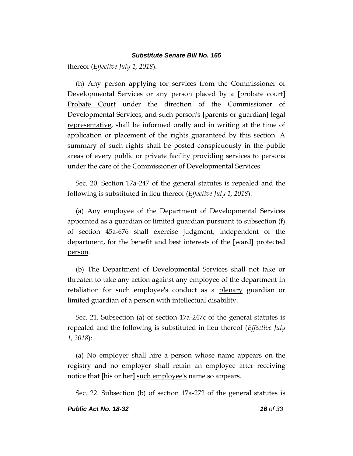thereof (*Effective July 1, 2018*):

(h) Any person applying for services from the Commissioner of Developmental Services or any person placed by a **[**probate court**]** Probate Court under the direction of the Commissioner of Developmental Services, and such person's **[**parents or guardian**]** legal representative, shall be informed orally and in writing at the time of application or placement of the rights guaranteed by this section. A summary of such rights shall be posted conspicuously in the public areas of every public or private facility providing services to persons under the care of the Commissioner of Developmental Services.

Sec. 20. Section 17a-247 of the general statutes is repealed and the following is substituted in lieu thereof (*Effective July 1, 2018*):

(a) Any employee of the Department of Developmental Services appointed as a guardian or limited guardian pursuant to subsection (f) of section 45a-676 shall exercise judgment, independent of the department, for the benefit and best interests of the **[**ward**]** protected person.

(b) The Department of Developmental Services shall not take or threaten to take any action against any employee of the department in retaliation for such employee's conduct as a <u>plenary</u> guardian or limited guardian of a person with intellectual disability.

Sec. 21. Subsection (a) of section 17a-247c of the general statutes is repealed and the following is substituted in lieu thereof (*Effective July 1, 2018*):

(a) No employer shall hire a person whose name appears on the registry and no employer shall retain an employee after receiving notice that **[**his or her**]** such employee's name so appears.

Sec. 22. Subsection (b) of section 17a-272 of the general statutes is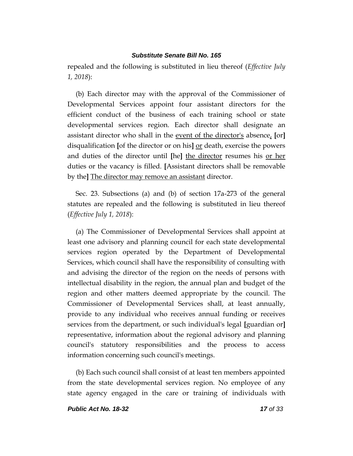repealed and the following is substituted in lieu thereof (*Effective July 1, 2018*):

(b) Each director may with the approval of the Commissioner of Developmental Services appoint four assistant directors for the efficient conduct of the business of each training school or state developmental services region. Each director shall designate an assistant director who shall in the event of the director's absence, **[**or**]** disqualification **[**of the director or on his**]** or death, exercise the powers and duties of the director until **[**he**]** the director resumes his or her duties or the vacancy is filled. **[**Assistant directors shall be removable by the**]** The director may remove an assistant director.

Sec. 23. Subsections (a) and (b) of section 17a-273 of the general statutes are repealed and the following is substituted in lieu thereof (*Effective July 1, 2018*):

(a) The Commissioner of Developmental Services shall appoint at least one advisory and planning council for each state developmental services region operated by the Department of Developmental Services, which council shall have the responsibility of consulting with and advising the director of the region on the needs of persons with intellectual disability in the region, the annual plan and budget of the region and other matters deemed appropriate by the council. The Commissioner of Developmental Services shall, at least annually, provide to any individual who receives annual funding or receives services from the department, or such individual's legal **[**guardian or**]** representative, information about the regional advisory and planning council's statutory responsibilities and the process to access information concerning such council's meetings.

(b) Each such council shall consist of at least ten members appointed from the state developmental services region. No employee of any state agency engaged in the care or training of individuals with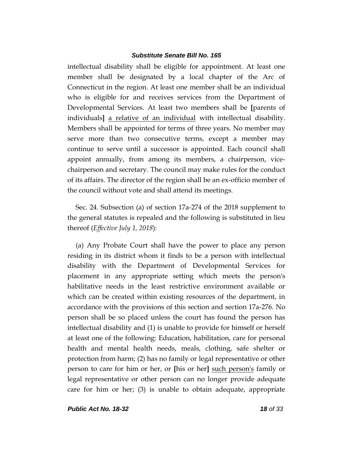intellectual disability shall be eligible for appointment. At least one member shall be designated by a local chapter of the Arc of Connecticut in the region. At least one member shall be an individual who is eligible for and receives services from the Department of Developmental Services. At least two members shall be **[**parents of individuals**]** a relative of an individual with intellectual disability. Members shall be appointed for terms of three years. No member may serve more than two consecutive terms, except a member may continue to serve until a successor is appointed. Each council shall appoint annually, from among its members, a chairperson, vicechairperson and secretary. The council may make rules for the conduct of its affairs. The director of the region shall be an ex-officio member of the council without vote and shall attend its meetings.

Sec. 24. Subsection (a) of section 17a-274 of the 2018 supplement to the general statutes is repealed and the following is substituted in lieu thereof (*Effective July 1, 2018*):

(a) Any Probate Court shall have the power to place any person residing in its district whom it finds to be a person with intellectual disability with the Department of Developmental Services for placement in any appropriate setting which meets the person's habilitative needs in the least restrictive environment available or which can be created within existing resources of the department, in accordance with the provisions of this section and section 17a-276. No person shall be so placed unless the court has found the person has intellectual disability and (1) is unable to provide for himself or herself at least one of the following: Education, habilitation, care for personal health and mental health needs, meals, clothing, safe shelter or protection from harm; (2) has no family or legal representative or other person to care for him or her, or **[**his or her**]** such person's family or legal representative or other person can no longer provide adequate care for him or her; (3) is unable to obtain adequate, appropriate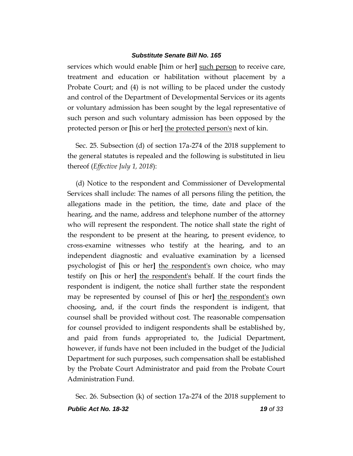services which would enable **[**him or her**]** such person to receive care, treatment and education or habilitation without placement by a Probate Court; and (4) is not willing to be placed under the custody and control of the Department of Developmental Services or its agents or voluntary admission has been sought by the legal representative of such person and such voluntary admission has been opposed by the protected person or **[**his or her**]** the protected person's next of kin.

Sec. 25. Subsection (d) of section 17a-274 of the 2018 supplement to the general statutes is repealed and the following is substituted in lieu thereof (*Effective July 1, 2018*):

(d) Notice to the respondent and Commissioner of Developmental Services shall include: The names of all persons filing the petition, the allegations made in the petition, the time, date and place of the hearing, and the name, address and telephone number of the attorney who will represent the respondent. The notice shall state the right of the respondent to be present at the hearing, to present evidence, to cross-examine witnesses who testify at the hearing, and to an independent diagnostic and evaluative examination by a licensed psychologist of **[**his or her**]** the respondent's own choice, who may testify on **[**his or her**]** the respondent's behalf. If the court finds the respondent is indigent, the notice shall further state the respondent may be represented by counsel of **[**his or her**]** the respondent's own choosing, and, if the court finds the respondent is indigent, that counsel shall be provided without cost. The reasonable compensation for counsel provided to indigent respondents shall be established by, and paid from funds appropriated to, the Judicial Department, however, if funds have not been included in the budget of the Judicial Department for such purposes, such compensation shall be established by the Probate Court Administrator and paid from the Probate Court Administration Fund.

*Public Act No. 18-32 19 of 33* Sec. 26. Subsection (k) of section 17a-274 of the 2018 supplement to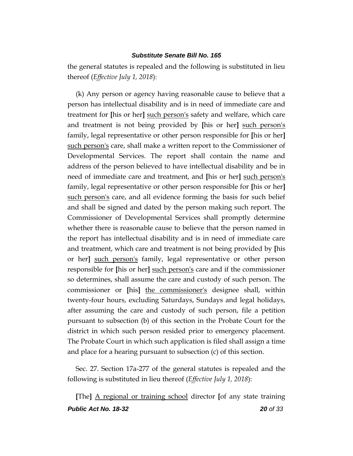the general statutes is repealed and the following is substituted in lieu thereof (*Effective July 1, 2018*):

(k) Any person or agency having reasonable cause to believe that a person has intellectual disability and is in need of immediate care and treatment for **[**his or her**]** such person's safety and welfare, which care and treatment is not being provided by **[**his or her**]** such person's family, legal representative or other person responsible for **[**his or her**]** such person's care, shall make a written report to the Commissioner of Developmental Services. The report shall contain the name and address of the person believed to have intellectual disability and be in need of immediate care and treatment, and **[**his or her**]** such person's family, legal representative or other person responsible for **[**his or her**]** such person's care, and all evidence forming the basis for such belief and shall be signed and dated by the person making such report. The Commissioner of Developmental Services shall promptly determine whether there is reasonable cause to believe that the person named in the report has intellectual disability and is in need of immediate care and treatment, which care and treatment is not being provided by **[**his or her**]** such person's family, legal representative or other person responsible for **[**his or her**]** such person's care and if the commissioner so determines, shall assume the care and custody of such person. The commissioner or **[**his**]** the commissioner's designee shall, within twenty-four hours, excluding Saturdays, Sundays and legal holidays, after assuming the care and custody of such person, file a petition pursuant to subsection (b) of this section in the Probate Court for the district in which such person resided prior to emergency placement. The Probate Court in which such application is filed shall assign a time and place for a hearing pursuant to subsection (c) of this section.

Sec. 27. Section 17a-277 of the general statutes is repealed and the following is substituted in lieu thereof (*Effective July 1, 2018*):

*Public Act No. 18-32 20 of 33* **[**The**]** A regional or training school director **[**of any state training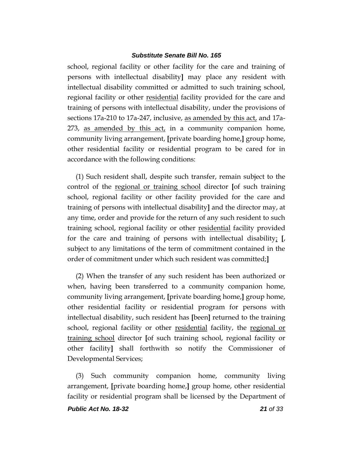school, regional facility or other facility for the care and training of persons with intellectual disability**]** may place any resident with intellectual disability committed or admitted to such training school, regional facility or other residential facility provided for the care and training of persons with intellectual disability, under the provisions of sections 17a-210 to 17a-247, inclusive, as amended by this act, and 17a-273, as amended by this act, in a community companion home, community living arrangement, **[**private boarding home,**]** group home, other residential facility or residential program to be cared for in accordance with the following conditions:

(1) Such resident shall, despite such transfer, remain subject to the control of the regional or training school director **[**of such training school, regional facility or other facility provided for the care and training of persons with intellectual disability**]** and the director may, at any time, order and provide for the return of any such resident to such training school, regional facility or other residential facility provided for the care and training of persons with intellectual disability; **[**, subject to any limitations of the term of commitment contained in the order of commitment under which such resident was committed;**]**

(2) When the transfer of any such resident has been authorized or when, having been transferred to a community companion home, community living arrangement, **[**private boarding home,**]** group home, other residential facility or residential program for persons with intellectual disability, such resident has **[**been**]** returned to the training school, regional facility or other residential facility, the regional or training school director **[**of such training school, regional facility or other facility**]** shall forthwith so notify the Commissioner of Developmental Services;

(3) Such community companion home, community living arrangement, **[**private boarding home,**]** group home, other residential facility or residential program shall be licensed by the Department of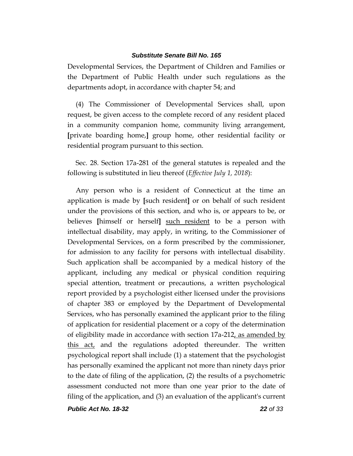Developmental Services, the Department of Children and Families or the Department of Public Health under such regulations as the departments adopt, in accordance with chapter 54; and

(4) The Commissioner of Developmental Services shall, upon request, be given access to the complete record of any resident placed in a community companion home, community living arrangement, **[**private boarding home,**]** group home, other residential facility or residential program pursuant to this section.

Sec. 28. Section 17a-281 of the general statutes is repealed and the following is substituted in lieu thereof (*Effective July 1, 2018*):

Any person who is a resident of Connecticut at the time an application is made by **[**such resident**]** or on behalf of such resident under the provisions of this section, and who is, or appears to be, or believes **[**himself or herself**]** such resident to be a person with intellectual disability, may apply, in writing, to the Commissioner of Developmental Services, on a form prescribed by the commissioner, for admission to any facility for persons with intellectual disability. Such application shall be accompanied by a medical history of the applicant, including any medical or physical condition requiring special attention, treatment or precautions, a written psychological report provided by a psychologist either licensed under the provisions of chapter 383 or employed by the Department of Developmental Services, who has personally examined the applicant prior to the filing of application for residential placement or a copy of the determination of eligibility made in accordance with section  $17a-212$ , as amended by this act, and the regulations adopted thereunder. The written psychological report shall include (1) a statement that the psychologist has personally examined the applicant not more than ninety days prior to the date of filing of the application, (2) the results of a psychometric assessment conducted not more than one year prior to the date of filing of the application, and (3) an evaluation of the applicant's current

*Public Act No. 18-32 22 of 33*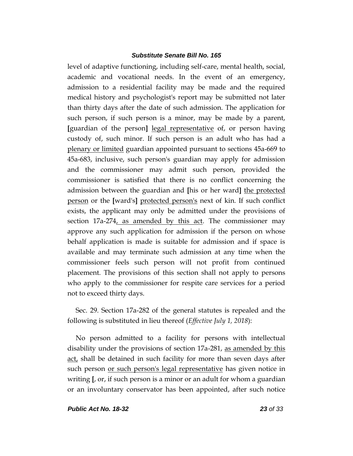level of adaptive functioning, including self-care, mental health, social, academic and vocational needs. In the event of an emergency, admission to a residential facility may be made and the required medical history and psychologist's report may be submitted not later than thirty days after the date of such admission. The application for such person, if such person is a minor, may be made by a parent, **[**guardian of the person**]** legal representative of, or person having custody of, such minor. If such person is an adult who has had a plenary or limited guardian appointed pursuant to sections 45a-669 to 45a-683, inclusive, such person's guardian may apply for admission and the commissioner may admit such person, provided the commissioner is satisfied that there is no conflict concerning the admission between the guardian and **[**his or her ward**]** the protected person or the **[**ward's**]** protected person's next of kin. If such conflict exists, the applicant may only be admitted under the provisions of section 17a-274, as amended by this act. The commissioner may approve any such application for admission if the person on whose behalf application is made is suitable for admission and if space is available and may terminate such admission at any time when the commissioner feels such person will not profit from continued placement. The provisions of this section shall not apply to persons who apply to the commissioner for respite care services for a period not to exceed thirty days.

Sec. 29. Section 17a-282 of the general statutes is repealed and the following is substituted in lieu thereof (*Effective July 1, 2018*):

No person admitted to a facility for persons with intellectual disability under the provisions of section 17a-281, as amended by this act, shall be detained in such facility for more than seven days after such person or such person's legal representative has given notice in writing **[**, or, if such person is a minor or an adult for whom a guardian or an involuntary conservator has been appointed, after such notice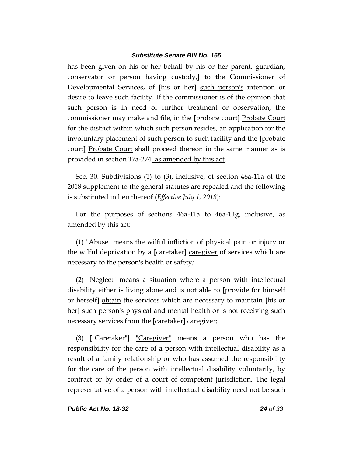has been given on his or her behalf by his or her parent, guardian, conservator or person having custody,**]** to the Commissioner of Developmental Services, of **[**his or her**]** such person's intention or desire to leave such facility. If the commissioner is of the opinion that such person is in need of further treatment or observation, the commissioner may make and file, in the **[**probate court**]** Probate Court for the district within which such person resides, <u>an</u> application for the involuntary placement of such person to such facility and the **[**probate court**]** Probate Court shall proceed thereon in the same manner as is provided in section 17a-274, as amended by this act.

Sec. 30. Subdivisions (1) to (3), inclusive, of section 46a-11a of the 2018 supplement to the general statutes are repealed and the following is substituted in lieu thereof (*Effective July 1, 2018*):

For the purposes of sections 46a-11a to 46a-11g, inclusive, as amended by this act:

(1) "Abuse" means the wilful infliction of physical pain or injury or the wilful deprivation by a **[**caretaker**]** caregiver of services which are necessary to the person's health or safety;

(2) "Neglect" means a situation where a person with intellectual disability either is living alone and is not able to **[**provide for himself or herself**]** obtain the services which are necessary to maintain **[**his or her**]** such person's physical and mental health or is not receiving such necessary services from the **[**caretaker**]** caregiver;

(3) **[**"Caretaker"**]** "Caregiver" means a person who has the responsibility for the care of a person with intellectual disability as a result of a family relationship or who has assumed the responsibility for the care of the person with intellectual disability voluntarily, by contract or by order of a court of competent jurisdiction. The legal representative of a person with intellectual disability need not be such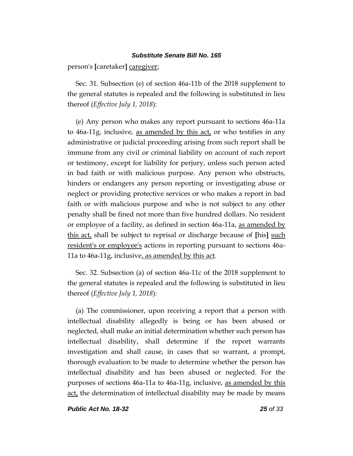person's **[**caretaker**]** caregiver;

Sec. 31. Subsection (e) of section 46a-11b of the 2018 supplement to the general statutes is repealed and the following is substituted in lieu thereof (*Effective July 1, 2018*):

(e) Any person who makes any report pursuant to sections 46a-11a to 46a-11g, inclusive, as amended by this act, or who testifies in any administrative or judicial proceeding arising from such report shall be immune from any civil or criminal liability on account of such report or testimony, except for liability for perjury, unless such person acted in bad faith or with malicious purpose. Any person who obstructs, hinders or endangers any person reporting or investigating abuse or neglect or providing protective services or who makes a report in bad faith or with malicious purpose and who is not subject to any other penalty shall be fined not more than five hundred dollars. No resident or employee of a facility, as defined in section 46a-11a, as amended by this act, shall be subject to reprisal or discharge because of **[**his**]** such resident's or employee's actions in reporting pursuant to sections 46a-11a to 46a-11g, inclusive, as amended by this act.

Sec. 32. Subsection (a) of section 46a-11c of the 2018 supplement to the general statutes is repealed and the following is substituted in lieu thereof (*Effective July 1, 2018*):

(a) The commissioner, upon receiving a report that a person with intellectual disability allegedly is being or has been abused or neglected, shall make an initial determination whether such person has intellectual disability, shall determine if the report warrants investigation and shall cause, in cases that so warrant, a prompt, thorough evaluation to be made to determine whether the person has intellectual disability and has been abused or neglected. For the purposes of sections 46a-11a to 46a-11g, inclusive, as amended by this act, the determination of intellectual disability may be made by means

*Public Act No. 18-32 25 of 33*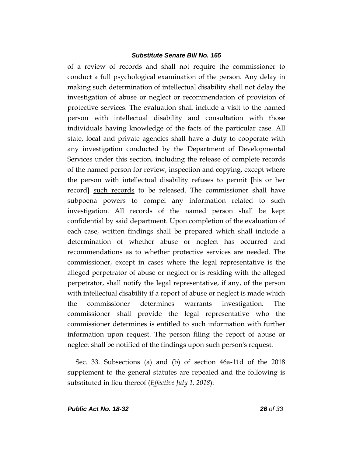of a review of records and shall not require the commissioner to conduct a full psychological examination of the person. Any delay in making such determination of intellectual disability shall not delay the investigation of abuse or neglect or recommendation of provision of protective services. The evaluation shall include a visit to the named person with intellectual disability and consultation with those individuals having knowledge of the facts of the particular case. All state, local and private agencies shall have a duty to cooperate with any investigation conducted by the Department of Developmental Services under this section, including the release of complete records of the named person for review, inspection and copying, except where the person with intellectual disability refuses to permit **[**his or her record**]** such records to be released. The commissioner shall have subpoena powers to compel any information related to such investigation. All records of the named person shall be kept confidential by said department. Upon completion of the evaluation of each case, written findings shall be prepared which shall include a determination of whether abuse or neglect has occurred and recommendations as to whether protective services are needed. The commissioner, except in cases where the legal representative is the alleged perpetrator of abuse or neglect or is residing with the alleged perpetrator, shall notify the legal representative, if any, of the person with intellectual disability if a report of abuse or neglect is made which the commissioner determines warrants investigation. The commissioner shall provide the legal representative who the commissioner determines is entitled to such information with further information upon request. The person filing the report of abuse or neglect shall be notified of the findings upon such person's request.

Sec. 33. Subsections (a) and (b) of section 46a-11d of the 2018 supplement to the general statutes are repealed and the following is substituted in lieu thereof (*Effective July 1, 2018*):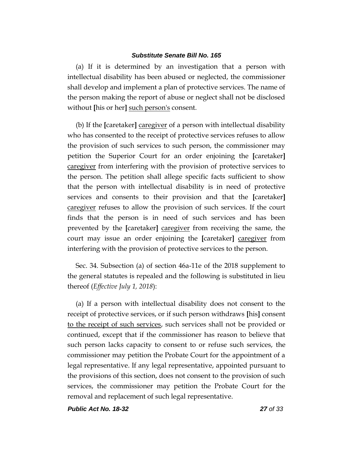(a) If it is determined by an investigation that a person with intellectual disability has been abused or neglected, the commissioner shall develop and implement a plan of protective services. The name of the person making the report of abuse or neglect shall not be disclosed without **[**his or her**]** such person's consent.

(b) If the **[**caretaker**]** caregiver of a person with intellectual disability who has consented to the receipt of protective services refuses to allow the provision of such services to such person, the commissioner may petition the Superior Court for an order enjoining the **[**caretaker**]** caregiver from interfering with the provision of protective services to the person. The petition shall allege specific facts sufficient to show that the person with intellectual disability is in need of protective services and consents to their provision and that the **[**caretaker**]** caregiver refuses to allow the provision of such services. If the court finds that the person is in need of such services and has been prevented by the **[**caretaker**]** caregiver from receiving the same, the court may issue an order enjoining the **[**caretaker**]** caregiver from interfering with the provision of protective services to the person.

Sec. 34. Subsection (a) of section 46a-11e of the 2018 supplement to the general statutes is repealed and the following is substituted in lieu thereof (*Effective July 1, 2018*):

(a) If a person with intellectual disability does not consent to the receipt of protective services, or if such person withdraws **[**his**]** consent to the receipt of such services, such services shall not be provided or continued, except that if the commissioner has reason to believe that such person lacks capacity to consent to or refuse such services, the commissioner may petition the Probate Court for the appointment of a legal representative. If any legal representative, appointed pursuant to the provisions of this section, does not consent to the provision of such services, the commissioner may petition the Probate Court for the removal and replacement of such legal representative.

*Public Act No. 18-32 27 of 33*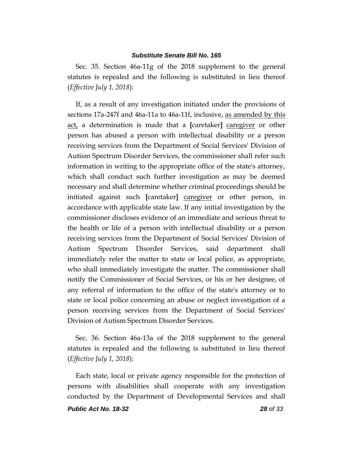Sec. 35. Section 46a-11g of the 2018 supplement to the general statutes is repealed and the following is substituted in lieu thereof (*Effective July 1, 2018*):

If, as a result of any investigation initiated under the provisions of sections 17a-247f and 46a-11a to 46a-11f, inclusive, as amended by this act, a determination is made that a **[**caretaker**]** caregiver or other person has abused a person with intellectual disability or a person receiving services from the Department of Social Services' Division of Autism Spectrum Disorder Services, the commissioner shall refer such information in writing to the appropriate office of the state's attorney, which shall conduct such further investigation as may be deemed necessary and shall determine whether criminal proceedings should be initiated against such **[**caretaker**]** caregiver or other person, in accordance with applicable state law. If any initial investigation by the commissioner discloses evidence of an immediate and serious threat to the health or life of a person with intellectual disability or a person receiving services from the Department of Social Services' Division of Autism Spectrum Disorder Services, said department shall immediately refer the matter to state or local police, as appropriate, who shall immediately investigate the matter. The commissioner shall notify the Commissioner of Social Services, or his or her designee, of any referral of information to the office of the state's attorney or to state or local police concerning an abuse or neglect investigation of a person receiving services from the Department of Social Services' Division of Autism Spectrum Disorder Services.

Sec. 36. Section 46a-13a of the 2018 supplement to the general statutes is repealed and the following is substituted in lieu thereof (*Effective July 1, 2018*):

Each state, local or private agency responsible for the protection of persons with disabilities shall cooperate with any investigation conducted by the Department of Developmental Services and shall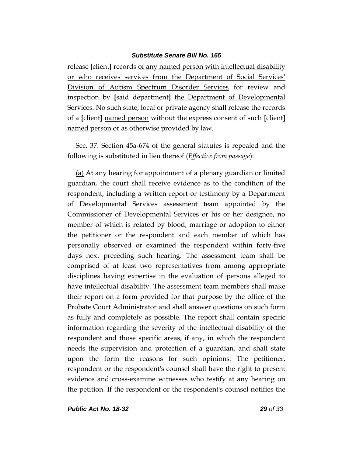release **[**client**]** records of any named person with intellectual disability or who receives services from the Department of Social Services' Division of Autism Spectrum Disorder Services for review and inspection by **[**said department**]** the Department of Developmental Services. No such state, local or private agency shall release the records of a **[**client**]** named person without the express consent of such **[**client**]** named person or as otherwise provided by law.

Sec. 37. Section 45a-674 of the general statutes is repealed and the following is substituted in lieu thereof (*Effective from passage*):

(a) At any hearing for appointment of a plenary guardian or limited guardian, the court shall receive evidence as to the condition of the respondent, including a written report or testimony by a Department of Developmental Services assessment team appointed by the Commissioner of Developmental Services or his or her designee, no member of which is related by blood, marriage or adoption to either the petitioner or the respondent and each member of which has personally observed or examined the respondent within forty-five days next preceding such hearing. The assessment team shall be comprised of at least two representatives from among appropriate disciplines having expertise in the evaluation of persons alleged to have intellectual disability. The assessment team members shall make their report on a form provided for that purpose by the office of the Probate Court Administrator and shall answer questions on such form as fully and completely as possible. The report shall contain specific information regarding the severity of the intellectual disability of the respondent and those specific areas, if any, in which the respondent needs the supervision and protection of a guardian, and shall state upon the form the reasons for such opinions. The petitioner, respondent or the respondent's counsel shall have the right to present evidence and cross-examine witnesses who testify at any hearing on the petition. If the respondent or the respondent's counsel notifies the

*Public Act No. 18-32 29 of 33*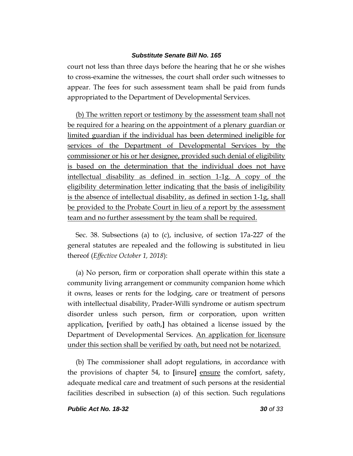court not less than three days before the hearing that he or she wishes to cross-examine the witnesses, the court shall order such witnesses to appear. The fees for such assessment team shall be paid from funds appropriated to the Department of Developmental Services.

(b) The written report or testimony by the assessment team shall not be required for a hearing on the appointment of a plenary guardian or limited guardian if the individual has been determined ineligible for services of the Department of Developmental Services by the commissioner or his or her designee, provided such denial of eligibility is based on the determination that the individual does not have intellectual disability as defined in section 1-1g. A copy of the eligibility determination letter indicating that the basis of ineligibility is the absence of intellectual disability, as defined in section 1-1g, shall be provided to the Probate Court in lieu of a report by the assessment team and no further assessment by the team shall be required.

Sec. 38. Subsections (a) to (c), inclusive, of section 17a-227 of the general statutes are repealed and the following is substituted in lieu thereof (*Effective October 1, 2018*):

(a) No person, firm or corporation shall operate within this state a community living arrangement or community companion home which it owns, leases or rents for the lodging, care or treatment of persons with intellectual disability, Prader-Willi syndrome or autism spectrum disorder unless such person, firm or corporation, upon written application, **[**verified by oath,**]** has obtained a license issued by the Department of Developmental Services. An application for licensure under this section shall be verified by oath, but need not be notarized.

(b) The commissioner shall adopt regulations, in accordance with the provisions of chapter 54, to **[**insure**]** ensure the comfort, safety, adequate medical care and treatment of such persons at the residential facilities described in subsection (a) of this section. Such regulations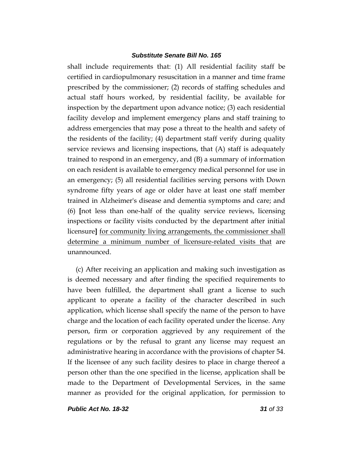shall include requirements that: (1) All residential facility staff be certified in cardiopulmonary resuscitation in a manner and time frame prescribed by the commissioner; (2) records of staffing schedules and actual staff hours worked, by residential facility, be available for inspection by the department upon advance notice; (3) each residential facility develop and implement emergency plans and staff training to address emergencies that may pose a threat to the health and safety of the residents of the facility; (4) department staff verify during quality service reviews and licensing inspections, that (A) staff is adequately trained to respond in an emergency, and (B) a summary of information on each resident is available to emergency medical personnel for use in an emergency; (5) all residential facilities serving persons with Down syndrome fifty years of age or older have at least one staff member trained in Alzheimer's disease and dementia symptoms and care; and (6) **[**not less than one-half of the quality service reviews, licensing inspections or facility visits conducted by the department after initial licensure**]** for community living arrangements, the commissioner shall determine a minimum number of licensure-related visits that are unannounced.

(c) After receiving an application and making such investigation as is deemed necessary and after finding the specified requirements to have been fulfilled, the department shall grant a license to such applicant to operate a facility of the character described in such application, which license shall specify the name of the person to have charge and the location of each facility operated under the license. Any person, firm or corporation aggrieved by any requirement of the regulations or by the refusal to grant any license may request an administrative hearing in accordance with the provisions of chapter 54. If the licensee of any such facility desires to place in charge thereof a person other than the one specified in the license, application shall be made to the Department of Developmental Services, in the same manner as provided for the original application, for permission to

*Public Act No. 18-32 31 of 33*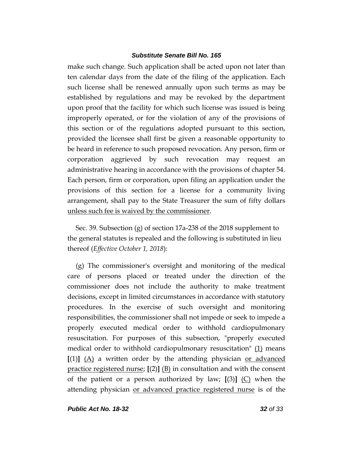make such change. Such application shall be acted upon not later than ten calendar days from the date of the filing of the application. Each such license shall be renewed annually upon such terms as may be established by regulations and may be revoked by the department upon proof that the facility for which such license was issued is being improperly operated, or for the violation of any of the provisions of this section or of the regulations adopted pursuant to this section, provided the licensee shall first be given a reasonable opportunity to be heard in reference to such proposed revocation. Any person, firm or corporation aggrieved by such revocation may request an administrative hearing in accordance with the provisions of chapter 54. Each person, firm or corporation, upon filing an application under the provisions of this section for a license for a community living arrangement, shall pay to the State Treasurer the sum of fifty dollars unless such fee is waived by the commissioner.

Sec. 39. Subsection (g) of section 17a-238 of the 2018 supplement to the general statutes is repealed and the following is substituted in lieu thereof (*Effective October 1, 2018*):

(g) The commissioner's oversight and monitoring of the medical care of persons placed or treated under the direction of the commissioner does not include the authority to make treatment decisions, except in limited circumstances in accordance with statutory procedures. In the exercise of such oversight and monitoring responsibilities, the commissioner shall not impede or seek to impede a properly executed medical order to withhold cardiopulmonary resuscitation. For purposes of this subsection, "properly executed medical order to withhold cardiopulmonary resuscitation" (1) means  $[(1)]$   $(A)$  a written order by the attending physician <u>or advanced</u> practice registered nurse; **[**(2)**]** (B) in consultation and with the consent of the patient or a person authorized by law; **[**(3)**]** (C) when the attending physician or advanced practice registered nurse is of the